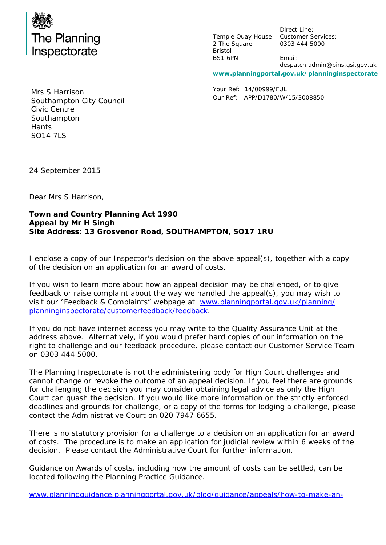

Temple Quay House Customer Services: 2 The Square Bristol BS1 6PN

Direct Line: 0303 444 5000

Email: despatch.admin@pins.gsi.gov.uk

**www.planningportal.gov.uk/planninginspectorate**

Your Ref: 14/00999/FUL Our Ref: APP/D1780/W/15/3008850

Mrs S Harrison Southampton City Council Civic Centre **Southampton Hants** SO14 7LS

24 September 2015

Dear Mrs S Harrison,

**Town and Country Planning Act 1990 Appeal by Mr H Singh Site Address: 13 Grosvenor Road, SOUTHAMPTON, SO17 1RU**

I enclose a copy of our Inspector's decision on the above appeal(s), together with a copy of the decision on an application for an award of costs.

If you wish to learn more about how an appeal decision may be challenged, or to give feedback or raise complaint about the way we handled the appeal(s), you may wish to visit our "Feedback & Complaints" webpage at [www.planningportal.gov.uk/planning/](http://www.planningportal.gov.uk/planning/planninginspectorate/customerfeedback/feedback) [planninginspectorate/customerfeedback/feedback.](http://www.planningportal.gov.uk/planning/planninginspectorate/customerfeedback/feedback)

If you do not have internet access you may write to the Quality Assurance Unit at the address above. Alternatively, if you would prefer hard copies of our information on the right to challenge and our feedback procedure, please contact our Customer Service Team on 0303 444 5000.

The Planning Inspectorate is not the administering body for High Court challenges and cannot change or revoke the outcome of an appeal decision. If you feel there are grounds for challenging the decision you may consider obtaining legal advice as only the High Court can quash the decision. If you would like more information on the strictly enforced deadlines and grounds for challenge, or a copy of the forms for lodging a challenge, please contact the Administrative Court on 020 7947 6655.

There is no statutory provision for a challenge to a decision on an application for an award of costs. The procedure is to make an application for judicial review within 6 weeks of the decision. Please contact the Administrative Court for further information.

Guidance on Awards of costs, including how the amount of costs can be settled, can be located following the Planning Practice Guidance.

[www.planningguidance.planningportal.gov.uk/blog/guidance/appeals/how-to-make-an-](http://planningguidance.planningportal.gov.uk/blog/guidance/appeals/how-to-make-an-application-for-an-award-of-costs/)